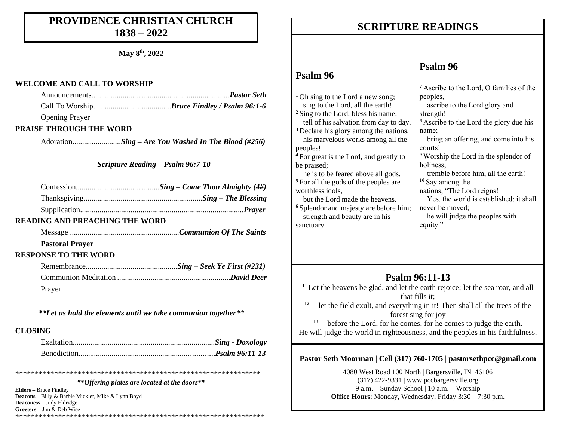## **PROVIDENCE CHRISTIAN CHURCH 1838 – 2022**

**May 8 th, 2022**

#### **WELCOME AND CALL TO WORSHIP**

Opening Prayer

### **PRAISE THROUGH THE WORD**

Adoration..........*...............Sing – Are You Washed In The Blood (#256)*

### *Scripture Reading – Psalm 96:7-10*

#### **READING AND PREACHING THE WORD**

Message ........................................................*Communion Of The Saints*

### **Pastoral Prayer**

### **RESPONSE TO THE WORD**

| Prayer |  |
|--------|--|

*\*\*Let us hold the elements until we take communion together\*\**

### **CLOSING**

\*\*\*\*\*\*\*\*\*\*\*\*\*\*\*\*\*\*\*\*\*\*\*\*\*\*\*\*\*\*\*\*\*\*\*\*\*\*\*\*\*\*\*\*\*\*\*\*\*\*\*\*\*\*\*\*\*\*\*\*\*\*\*

#### *\*\*Offering plates are located at the doors\*\**

**Elders –** Bruce Findley **Deacons –** Billy & Barbie Mickler, Mike & Lynn Boyd **Deaconess –** Judy Eldridge **Greeters –** Jim & Deb Wise \*\*\*\*\*\*\*\*\*\*\*\*\*\*\*\*\*\*\*\*\*\*\*\*\*\*\*\*\*\*\*\*\*\*\*\*\*\*\*\*\*\*\*\*\*\*\*\*\*\*\*\*\*\*\*\*\*\*\*\*\*\*\*\*

## **SCRIPTURE READINGS SCRIPTURE READINGS**

## **Psalm 96**

**<sup>1</sup>** Oh sing to the Lord a new song; sing to the Lord, all the earth! **<sup>2</sup>** Sing to the Lord, bless his name; tell of his salvation from day to da <sup>3</sup> Declare his glory among the nation his marvelous works among all the peoples! <sup>4</sup> For great is the Lord, and greatly to be praised; he is to be feared above all gods. **<sup>5</sup>** For all the gods of the peoples are worthless idols,

 but the Lord made the heavens. <sup>6</sup> Splendor and majesty are before him strength and beauty are in his sanctuary.

## **Psalm 96**

|              | <sup>7</sup> Ascribe to the Lord, O families of the |
|--------------|-----------------------------------------------------|
|              | peoples,                                            |
|              | ascribe to the Lord glory and                       |
|              | strength!                                           |
| ìу.          | <sup>8</sup> Ascribe to the Lord the glory due his  |
| lS,          | name;                                               |
| e            | bring an offering, and come into his                |
|              | courts!                                             |
| $\mathbf{)}$ | <sup>9</sup> Worship the Lord in the splendor of    |
|              | holiness;                                           |
|              | tremble before him, all the earth!                  |
|              | $10$ Say among the                                  |
|              | nations, "The Lord reigns!                          |
|              | Yes, the world is established; it shall             |
| m:           | never be moved;                                     |
|              | he will judge the peoples with                      |
|              | equity."                                            |
|              |                                                     |
|              |                                                     |

### **Psalm 96:11-13**

- <sup>11</sup> Let the heavens be glad, and let the earth rejoice; let the sea roar, and all that fills it;
- **12** let the field exult, and everything in it! Then shall all the trees of the forest sing for joy

**13** before the Lord, for he comes, for he comes to judge the earth. He will judge the world in righteousness, and the peoples in his faithfulness.

### **Pastor Seth Moorman | Cell (317) 760-1705 | pastorsethpcc@gmail.com**

4080 West Road 100 North | Bargersville, IN 46106 (317) 422-9331 | www.pccbargersville.org 9 a.m. – Sunday School | 10 a.m. – Worship **Office Hours**: Monday, Wednesday, Friday 3:30 – 7:30 p.m.